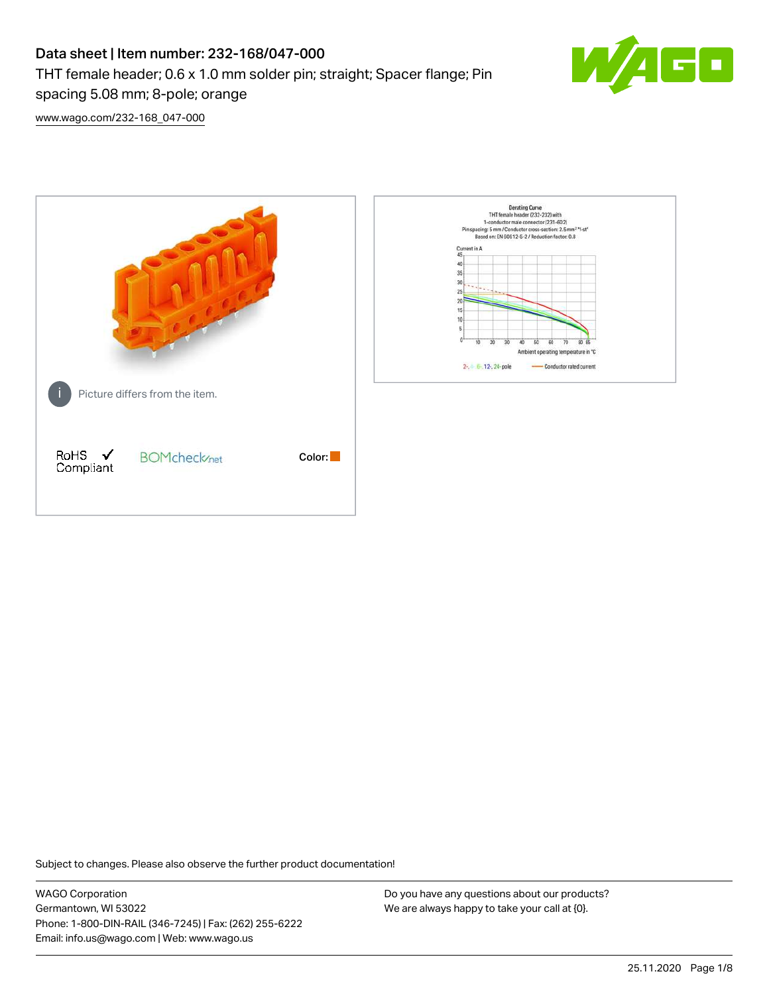# Data sheet | Item number: 232-168/047-000 THT female header; 0.6 x 1.0 mm solder pin; straight; Spacer flange; Pin spacing 5.08 mm; 8-pole; orange



[www.wago.com/232-168\\_047-000](http://www.wago.com/232-168_047-000)



Subject to changes. Please also observe the further product documentation!

WAGO Corporation Germantown, WI 53022 Phone: 1-800-DIN-RAIL (346-7245) | Fax: (262) 255-6222 Email: info.us@wago.com | Web: www.wago.us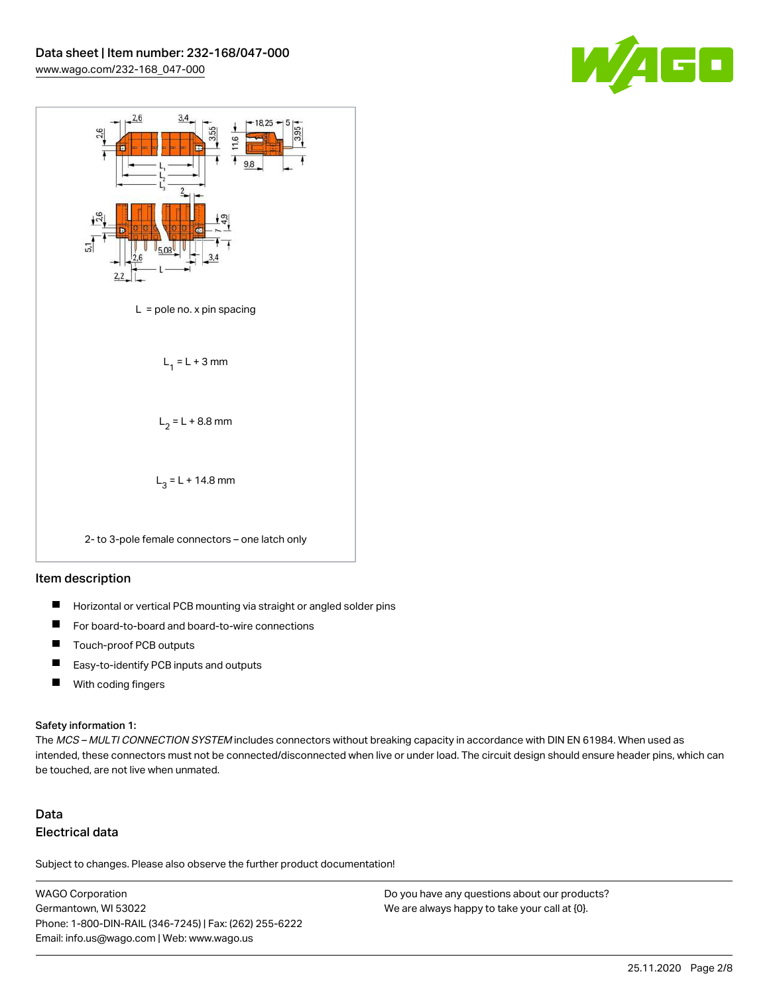



#### Item description

- $\blacksquare$ Horizontal or vertical PCB mounting via straight or angled solder pins
- П For board-to-board and board-to-wire connections
- $\blacksquare$ Touch-proof PCB outputs
- $\blacksquare$ Easy-to-identify PCB inputs and outputs
- $\blacksquare$ With coding fingers

#### Safety information 1:

The MCS - MULTI CONNECTION SYSTEM includes connectors without breaking capacity in accordance with DIN EN 61984. When used as intended, these connectors must not be connected/disconnected when live or under load. The circuit design should ensure header pins, which can be touched, are not live when unmated.

# Data Electrical data

Subject to changes. Please also observe the further product documentation!

WAGO Corporation Germantown, WI 53022 Phone: 1-800-DIN-RAIL (346-7245) | Fax: (262) 255-6222 Email: info.us@wago.com | Web: www.wago.us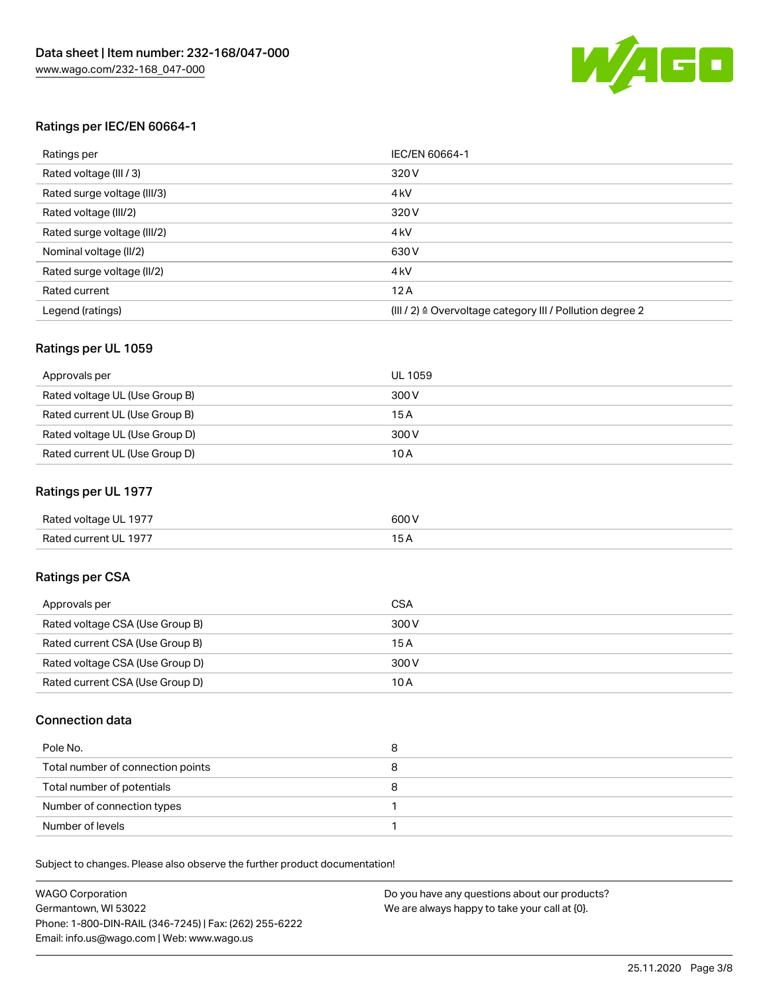

#### Ratings per IEC/EN 60664-1

| Ratings per                 | IEC/EN 60664-1                                                        |
|-----------------------------|-----------------------------------------------------------------------|
| Rated voltage (III / 3)     | 320 V                                                                 |
| Rated surge voltage (III/3) | 4 <sub>k</sub> V                                                      |
| Rated voltage (III/2)       | 320 V                                                                 |
| Rated surge voltage (III/2) | 4 <sub>k</sub> V                                                      |
| Nominal voltage (II/2)      | 630 V                                                                 |
| Rated surge voltage (II/2)  | 4 <sub>k</sub> V                                                      |
| Rated current               | 12A                                                                   |
| Legend (ratings)            | $(III / 2)$ $\triangle$ Overvoltage category III / Pollution degree 2 |

#### Ratings per UL 1059

| Approvals per                  | UL 1059 |
|--------------------------------|---------|
| Rated voltage UL (Use Group B) | 300 V   |
| Rated current UL (Use Group B) | 15 A    |
| Rated voltage UL (Use Group D) | 300 V   |
| Rated current UL (Use Group D) | 10A     |

#### Ratings per UL 1977

| Rated voltage UL 1977 | 600 <sup>V</sup><br>. |
|-----------------------|-----------------------|
| Rated current UL 1977 |                       |

## Ratings per CSA

| Approvals per                   | CSA   |
|---------------------------------|-------|
| Rated voltage CSA (Use Group B) | 300 V |
| Rated current CSA (Use Group B) | 15 A  |
| Rated voltage CSA (Use Group D) | 300 V |
| Rated current CSA (Use Group D) | 10 A  |

#### Connection data

| Pole No.                          | 8 |
|-----------------------------------|---|
| Total number of connection points |   |
| Total number of potentials        | o |
| Number of connection types        |   |
| Number of levels                  |   |

Subject to changes. Please also observe the further product documentation!

| <b>WAGO Corporation</b>                                | Do you have any questions about our products? |
|--------------------------------------------------------|-----------------------------------------------|
| Germantown, WI 53022                                   | We are always happy to take your call at {0}. |
| Phone: 1-800-DIN-RAIL (346-7245)   Fax: (262) 255-6222 |                                               |
| Email: info.us@wago.com   Web: www.wago.us             |                                               |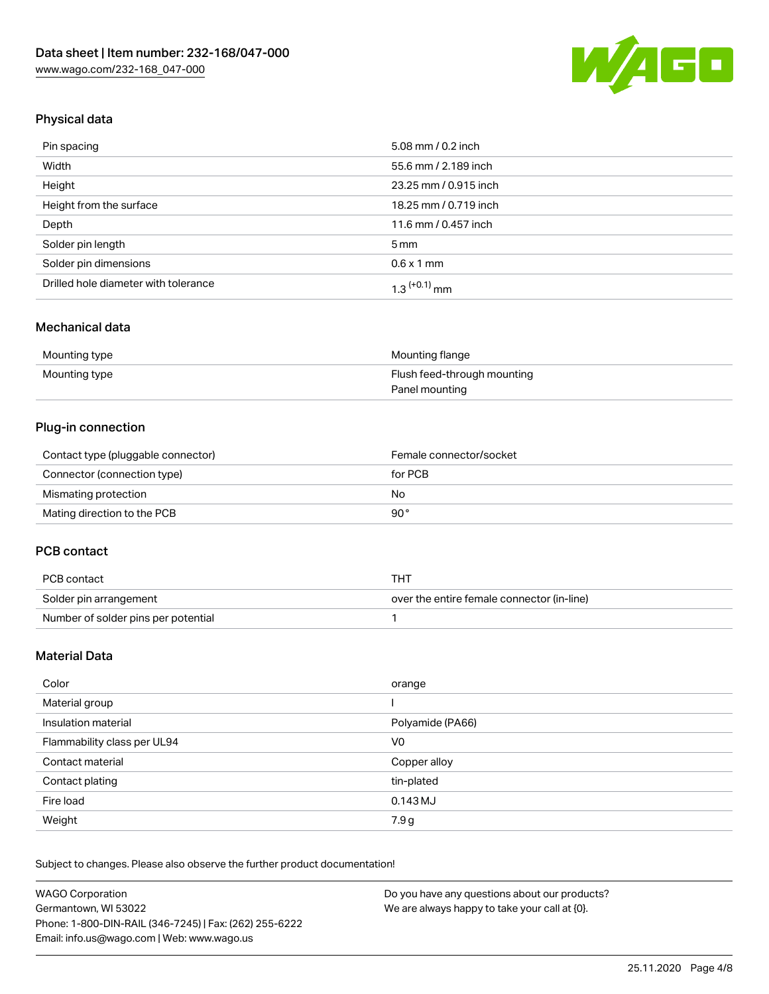

# Physical data

| Pin spacing                          | 5.08 mm / 0.2 inch    |
|--------------------------------------|-----------------------|
| Width                                | 55.6 mm / 2.189 inch  |
| Height                               | 23.25 mm / 0.915 inch |
| Height from the surface              | 18.25 mm / 0.719 inch |
| Depth                                | 11.6 mm / 0.457 inch  |
| Solder pin length                    | $5 \,\mathrm{mm}$     |
| Solder pin dimensions                | $0.6 \times 1$ mm     |
| Drilled hole diameter with tolerance | $1.3$ $(+0.1)$ mm     |

## Mechanical data

| Mounting type | Mounting flange             |
|---------------|-----------------------------|
| Mounting type | Flush feed-through mounting |
|               | Panel mounting              |

## Plug-in connection

| Contact type (pluggable connector) | Female connector/socket |
|------------------------------------|-------------------------|
| Connector (connection type)        | for PCB                 |
| Mismating protection               | No                      |
| Mating direction to the PCB        | 90°                     |

#### PCB contact

| PCB contact                         | тнт                                        |
|-------------------------------------|--------------------------------------------|
| Solder pin arrangement              | over the entire female connector (in-line) |
| Number of solder pins per potential |                                            |

# Material Data

| Color                       | orange           |
|-----------------------------|------------------|
| Material group              |                  |
| Insulation material         | Polyamide (PA66) |
| Flammability class per UL94 | V0               |
| Contact material            | Copper alloy     |
| Contact plating             | tin-plated       |
| Fire load                   | 0.143 MJ         |
| Weight                      | 7.9 g            |

Subject to changes. Please also observe the further product documentation!

| <b>WAGO Corporation</b>                                | Do you have any questions about our products? |
|--------------------------------------------------------|-----------------------------------------------|
| Germantown, WI 53022                                   | We are always happy to take your call at {0}. |
| Phone: 1-800-DIN-RAIL (346-7245)   Fax: (262) 255-6222 |                                               |
| Email: info.us@wago.com   Web: www.wago.us             |                                               |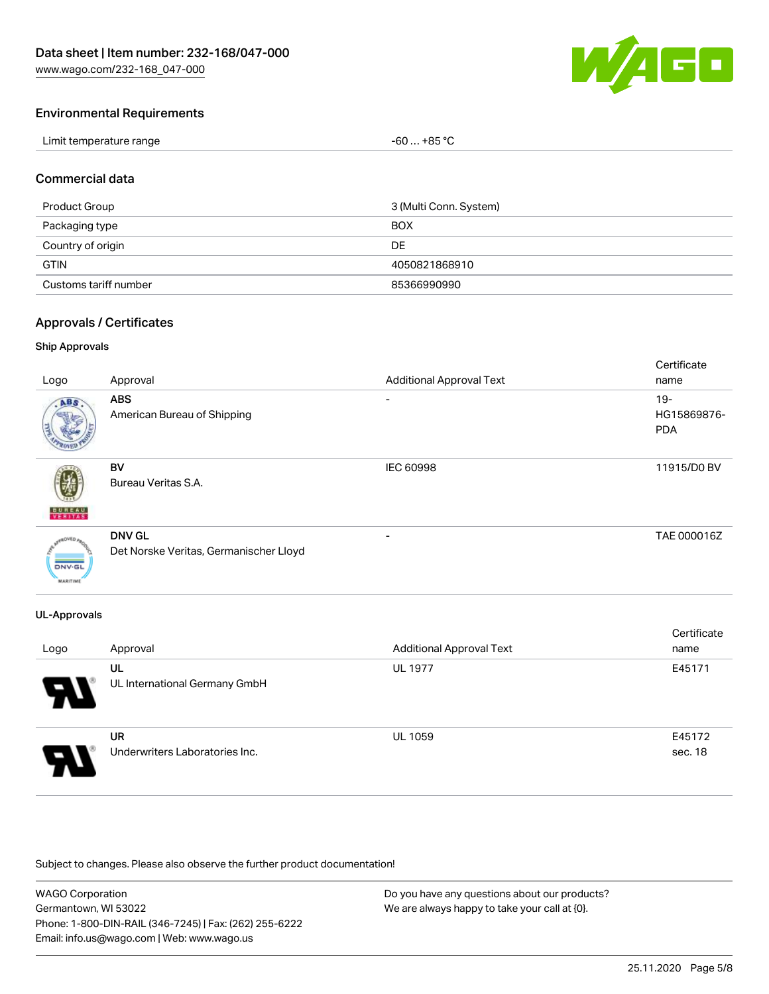

#### Environmental Requirements

| Limit temperature range | $-60+85 °C$ |
|-------------------------|-------------|
|-------------------------|-------------|

#### Commercial data

| Product Group         | 3 (Multi Conn. System) |
|-----------------------|------------------------|
| Packaging type        | <b>BOX</b>             |
| Country of origin     | DE                     |
| <b>GTIN</b>           | 4050821868910          |
| Customs tariff number | 85366990990            |

#### Approvals / Certificates

#### Ship Approvals

| Logo                                       | Approval                                                | <b>Additional Approval Text</b> | Certificate<br>name                 |
|--------------------------------------------|---------------------------------------------------------|---------------------------------|-------------------------------------|
| ABS                                        | <b>ABS</b><br>American Bureau of Shipping               | -                               | $19 -$<br>HG15869876-<br><b>PDA</b> |
| <b>BUREAU</b><br>VERITAS                   | BV<br>Bureau Veritas S.A.                               | <b>IEC 60998</b>                | 11915/D0 BV                         |
| aOVED.<br><b>DNV-GL</b><br><b>MARITIME</b> | <b>DNV GL</b><br>Det Norske Veritas, Germanischer Lloyd |                                 | TAE 000016Z                         |

#### UL-Approvals

| Logo                  | Approval                                    | <b>Additional Approval Text</b> | Certificate<br>name |
|-----------------------|---------------------------------------------|---------------------------------|---------------------|
| $\boldsymbol{\theta}$ | UL<br>UL International Germany GmbH         | <b>UL 1977</b>                  | E45171              |
| $\boldsymbol{\theta}$ | <b>UR</b><br>Underwriters Laboratories Inc. | <b>UL 1059</b>                  | E45172<br>sec. 18   |

Subject to changes. Please also observe the further product documentation!

| <b>WAGO Corporation</b>                                | Do you have any questions about our products? |
|--------------------------------------------------------|-----------------------------------------------|
| Germantown, WI 53022                                   | We are always happy to take your call at {0}. |
| Phone: 1-800-DIN-RAIL (346-7245)   Fax: (262) 255-6222 |                                               |
| Email: info.us@wago.com   Web: www.wago.us             |                                               |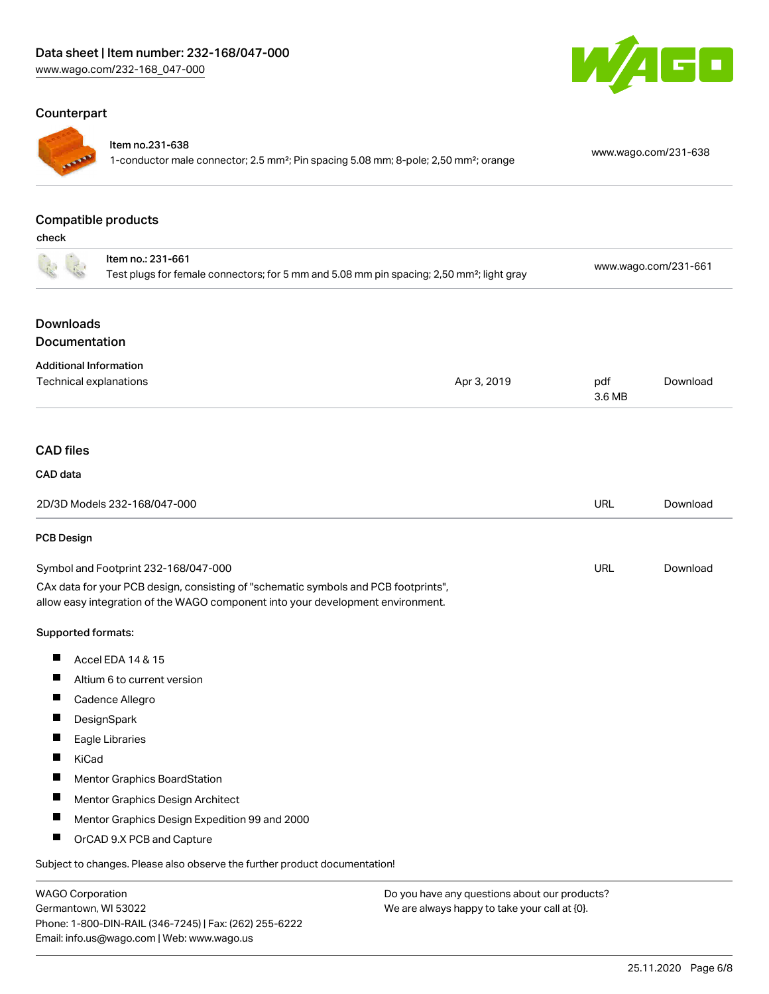#### Counterpart



#### Item no.231-638

1-conductor male connector; 2.5 mm²; Pin spacing 5.08 mm; 8-pole; 2,50 mm²; orange [www.wago.com/231-638](https://www.wago.com/231-638)

# Compatible products

check

| cneck                                                                                                                      |                                                                                                                                                                        |                      |               |          |
|----------------------------------------------------------------------------------------------------------------------------|------------------------------------------------------------------------------------------------------------------------------------------------------------------------|----------------------|---------------|----------|
| Item no.: 231-661<br>Test plugs for female connectors; for 5 mm and 5.08 mm pin spacing; 2,50 mm <sup>2</sup> ; light gray |                                                                                                                                                                        | www.wago.com/231-661 |               |          |
| <b>Downloads</b>                                                                                                           |                                                                                                                                                                        |                      |               |          |
| Documentation                                                                                                              |                                                                                                                                                                        |                      |               |          |
| <b>Additional Information</b>                                                                                              |                                                                                                                                                                        |                      |               |          |
| Technical explanations                                                                                                     |                                                                                                                                                                        | Apr 3, 2019          | pdf<br>3.6 MB | Download |
| <b>CAD files</b>                                                                                                           |                                                                                                                                                                        |                      |               |          |
| CAD data                                                                                                                   |                                                                                                                                                                        |                      |               |          |
|                                                                                                                            | 2D/3D Models 232-168/047-000                                                                                                                                           |                      | <b>URL</b>    | Download |
| <b>PCB Design</b>                                                                                                          |                                                                                                                                                                        |                      |               |          |
|                                                                                                                            | Symbol and Footprint 232-168/047-000                                                                                                                                   |                      | <b>URL</b>    | Download |
|                                                                                                                            | CAx data for your PCB design, consisting of "schematic symbols and PCB footprints",<br>allow easy integration of the WAGO component into your development environment. |                      |               |          |
| Supported formats:                                                                                                         |                                                                                                                                                                        |                      |               |          |
| ш                                                                                                                          | Accel EDA 14 & 15                                                                                                                                                      |                      |               |          |
| ш                                                                                                                          | Altium 6 to current version                                                                                                                                            |                      |               |          |
| ш                                                                                                                          | Cadence Allegro                                                                                                                                                        |                      |               |          |
| П                                                                                                                          | DesignSpark                                                                                                                                                            |                      |               |          |
|                                                                                                                            | Eagle Libraries                                                                                                                                                        |                      |               |          |
| Ш<br><b>KiCad</b>                                                                                                          |                                                                                                                                                                        |                      |               |          |
| ш                                                                                                                          | <b>Mentor Graphics BoardStation</b>                                                                                                                                    |                      |               |          |
|                                                                                                                            | Mentor Graphics Design Architect                                                                                                                                       |                      |               |          |
| ш                                                                                                                          | Mentor Graphics Design Expedition 99 and 2000                                                                                                                          |                      |               |          |
| Ц                                                                                                                          | OrCAD 9.X PCB and Capture                                                                                                                                              |                      |               |          |
|                                                                                                                            | Subject to changes. Please also observe the further product documentation!                                                                                             |                      |               |          |
|                                                                                                                            |                                                                                                                                                                        |                      |               |          |

WAGO Corporation Germantown, WI 53022 Phone: 1-800-DIN-RAIL (346-7245) | Fax: (262) 255-6222 Email: info.us@wago.com | Web: www.wago.us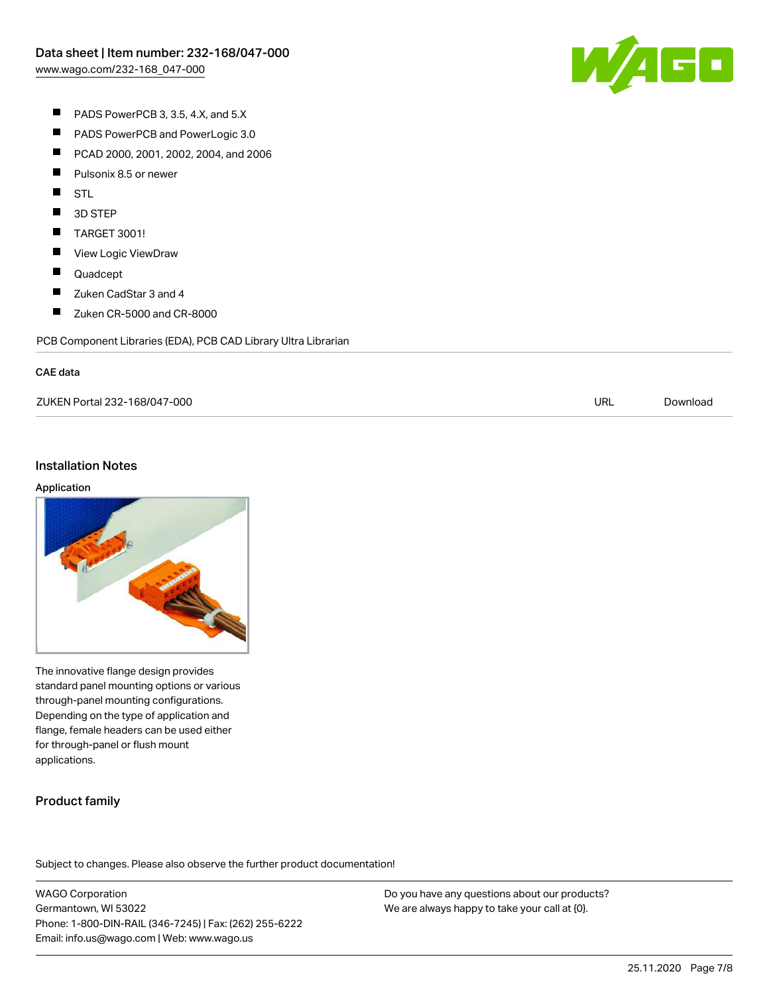

- $\blacksquare$ PADS PowerPCB 3, 3.5, 4.X, and 5.X
- $\blacksquare$ PADS PowerPCB and PowerLogic 3.0
- $\blacksquare$ PCAD 2000, 2001, 2002, 2004, and 2006
- $\blacksquare$ Pulsonix 8.5 or newer
- $\blacksquare$ STL
- $\blacksquare$ 3D STEP
- $\blacksquare$ TARGET 3001!
- $\blacksquare$ View Logic ViewDraw
- $\blacksquare$ Quadcept
- $\blacksquare$ Zuken CadStar 3 and 4
- $\blacksquare$ Zuken CR-5000 and CR-8000

PCB Component Libraries (EDA), PCB CAD Library Ultra Librarian

#### CAE data

ZUKEN Portal 232-168/047-000 URL [Download](https://www.wago.com/us/d/Zuken_URLS_232-168_047-000)

#### Installation Notes

#### Application



The innovative flange design provides standard panel mounting options or various through-panel mounting configurations. Depending on the type of application and flange, female headers can be used either for through-panel or flush mount applications.

## Product family

Subject to changes. Please also observe the further product documentation!

WAGO Corporation Germantown, WI 53022 Phone: 1-800-DIN-RAIL (346-7245) | Fax: (262) 255-6222 Email: info.us@wago.com | Web: www.wago.us